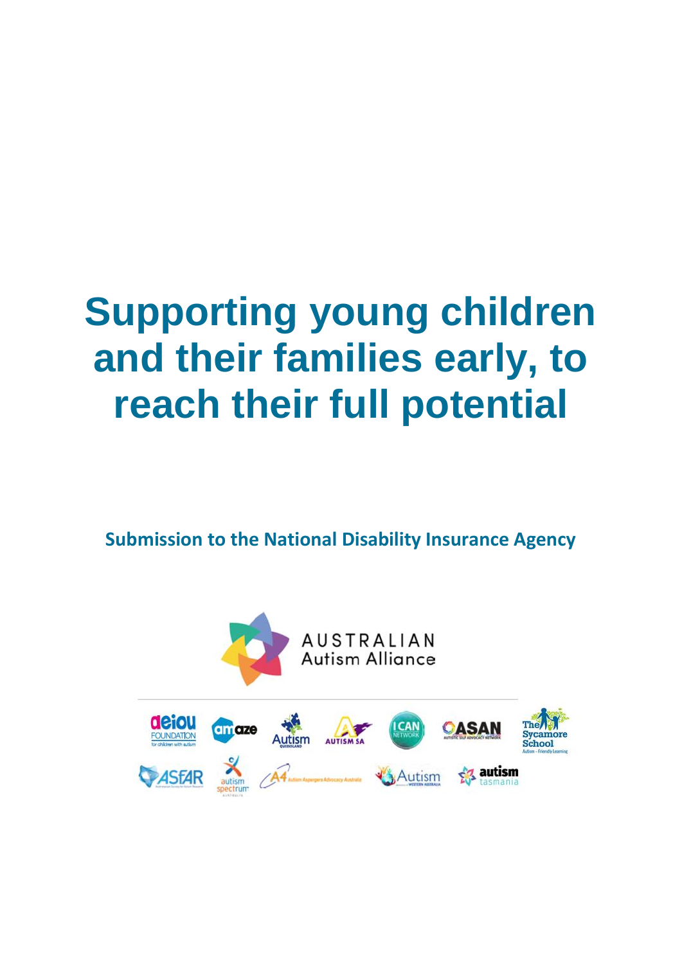# **Supporting young children and their families early, to reach their full potential**

**Submission to the National Disability Insurance Agency** 

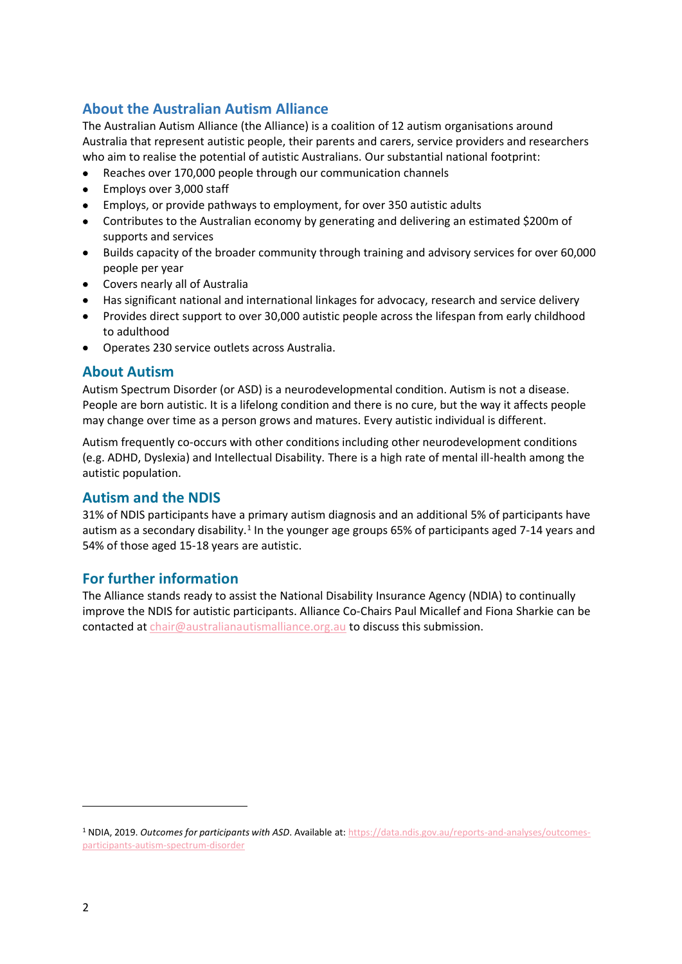# **About the Australian Autism Alliance**

The Australian Autism Alliance (the Alliance) is a coalition of 12 autism organisations around Australia that represent autistic people, their parents and carers, service providers and researchers who aim to realise the potential of autistic Australians. Our substantial national footprint:

- Reaches over 170,000 people through our communication channels
- Employs over 3,000 staff
- Employs, or provide pathways to employment, for over 350 autistic adults
- Contributes to the Australian economy by generating and delivering an estimated \$200m of supports and services
- Builds capacity of the broader community through training and advisory services for over 60,000 people per year
- Covers nearly all of Australia
- Has significant national and international linkages for advocacy, research and service delivery
- Provides direct support to over 30,000 autistic people across the lifespan from early childhood to adulthood
- Operates 230 service outlets across Australia.

# **About Autism**

Autism Spectrum Disorder (or ASD) is a neurodevelopmental condition. Autism is not a disease. People are born autistic. It is a lifelong condition and there is no cure, but the way it affects people may change over time as a person grows and matures. Every autistic individual is different.

Autism frequently co-occurs with other conditions including other neurodevelopment conditions (e.g. ADHD, Dyslexia) and Intellectual Disability. There is a high rate of mental ill-health among the autistic population.

#### **Autism and the NDIS**

31% of NDIS participants have a primary autism diagnosis and an additional 5% of participants have autism as a secondary disability.<sup>1</sup> In the younger age groups 65% of participants aged 7-14 years and 54% of those aged 15-18 years are autistic.

# **For further information**

The Alliance stands ready to assist the National Disability Insurance Agency (NDIA) to continually improve the NDIS for autistic participants. Alliance Co-Chairs Paul Micallef and Fiona Sharkie can be contacted a[t chair@australianautismalliance.org.au](mailto:chair@australianautismalliance.org.au) to discuss this submission.

<sup>1</sup> NDIA, 2019. *Outcomes for participants with ASD*. Available at: [https://data.ndis.gov.au/reports-and-analyses/outcomes](https://data.ndis.gov.au/reports-and-analyses/outcomes-participants-autism-spectrum-disorder)[participants-autism-spectrum-disorder](https://data.ndis.gov.au/reports-and-analyses/outcomes-participants-autism-spectrum-disorder)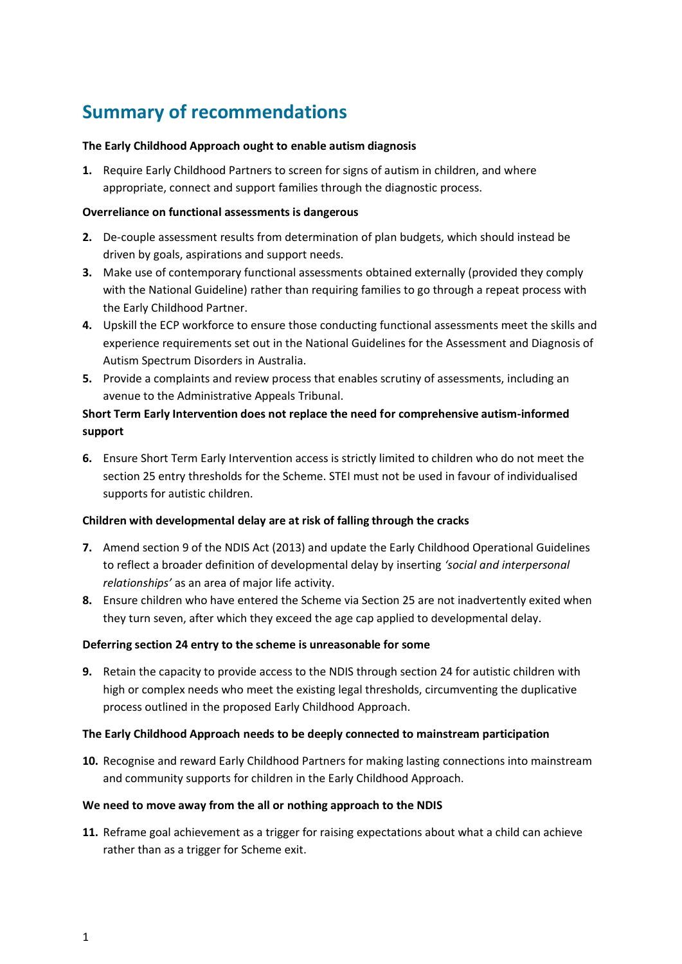# **Summary of recommendations**

#### **The Early Childhood Approach ought to enable autism diagnosis**

**1.** Require Early Childhood Partners to screen for signs of autism in children, and where appropriate, connect and support families through the diagnostic process.

#### **Overreliance on functional assessments is dangerous**

- **2.** De-couple assessment results from determination of plan budgets, which should instead be driven by goals, aspirations and support needs.
- **3.** Make use of contemporary functional assessments obtained externally (provided they comply with the National Guideline) rather than requiring families to go through a repeat process with the Early Childhood Partner.
- **4.** Upskill the ECP workforce to ensure those conducting functional assessments meet the skills and experience requirements set out in the National Guidelines for the Assessment and Diagnosis of Autism Spectrum Disorders in Australia.
- **5.** Provide a complaints and review process that enables scrutiny of assessments, including an avenue to the Administrative Appeals Tribunal.

# **Short Term Early Intervention does not replace the need for comprehensive autism-informed support**

**6.** Ensure Short Term Early Intervention access is strictly limited to children who do not meet the section 25 entry thresholds for the Scheme. STEI must not be used in favour of individualised supports for autistic children.

#### **Children with developmental delay are at risk of falling through the cracks**

- **7.** Amend section 9 of the NDIS Act (2013) and update the Early Childhood Operational Guidelines to reflect a broader definition of developmental delay by inserting *'social and interpersonal relationships'* as an area of major life activity.
- **8.** Ensure children who have entered the Scheme via Section 25 are not inadvertently exited when they turn seven, after which they exceed the age cap applied to developmental delay.

#### **Deferring section 24 entry to the scheme is unreasonable for some**

**9.** Retain the capacity to provide access to the NDIS through section 24 for autistic children with high or complex needs who meet the existing legal thresholds, circumventing the duplicative process outlined in the proposed Early Childhood Approach.

#### **The Early Childhood Approach needs to be deeply connected to mainstream participation**

**10.** Recognise and reward Early Childhood Partners for making lasting connections into mainstream and community supports for children in the Early Childhood Approach.

#### **We need to move away from the all or nothing approach to the NDIS**

**11.** Reframe goal achievement as a trigger for raising expectations about what a child can achieve rather than as a trigger for Scheme exit.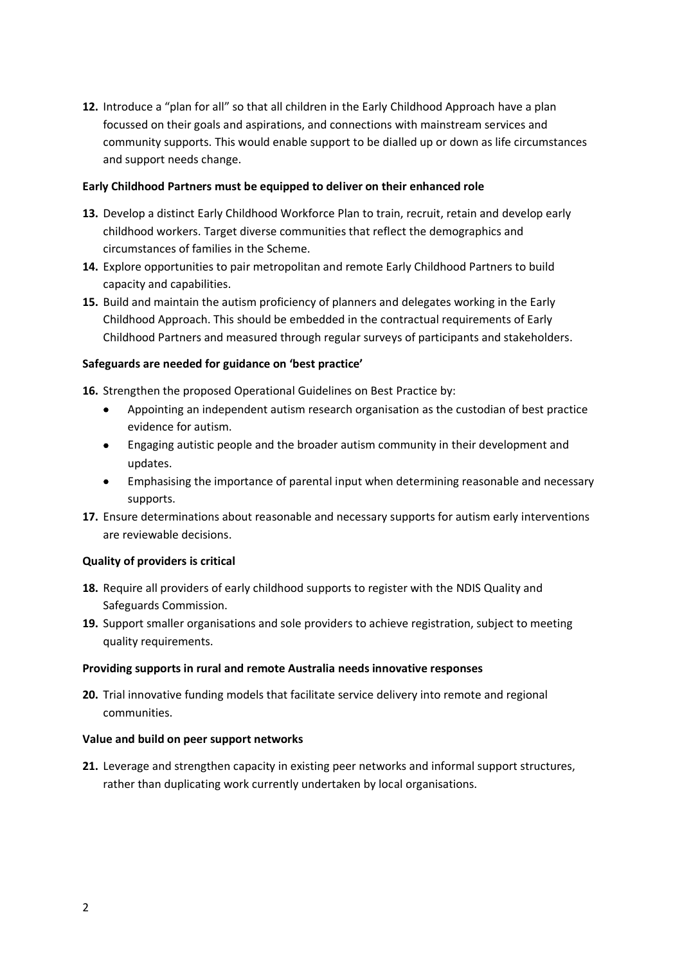**12.** Introduce a "plan for all" so that all children in the Early Childhood Approach have a plan focussed on their goals and aspirations, and connections with mainstream services and community supports. This would enable support to be dialled up or down as life circumstances and support needs change.

#### **Early Childhood Partners must be equipped to deliver on their enhanced role**

- **13.** Develop a distinct Early Childhood Workforce Plan to train, recruit, retain and develop early childhood workers. Target diverse communities that reflect the demographics and circumstances of families in the Scheme.
- **14.** Explore opportunities to pair metropolitan and remote Early Childhood Partners to build capacity and capabilities.
- **15.** Build and maintain the autism proficiency of planners and delegates working in the Early Childhood Approach. This should be embedded in the contractual requirements of Early Childhood Partners and measured through regular surveys of participants and stakeholders.

#### **Safeguards are needed for guidance on 'best practice'**

**16.** Strengthen the proposed Operational Guidelines on Best Practice by:

- Appointing an independent autism research organisation as the custodian of best practice evidence for autism.
- Engaging autistic people and the broader autism community in their development and updates.
- Emphasising the importance of parental input when determining reasonable and necessary supports.
- **17.** Ensure determinations about reasonable and necessary supports for autism early interventions are reviewable decisions.

#### **Quality of providers is critical**

- **18.** Require all providers of early childhood supports to register with the NDIS Quality and Safeguards Commission.
- **19.** Support smaller organisations and sole providers to achieve registration, subject to meeting quality requirements.

#### **Providing supports in rural and remote Australia needs innovative responses**

**20.** Trial innovative funding models that facilitate service delivery into remote and regional communities.

#### **Value and build on peer support networks**

**21.** Leverage and strengthen capacity in existing peer networks and informal support structures, rather than duplicating work currently undertaken by local organisations.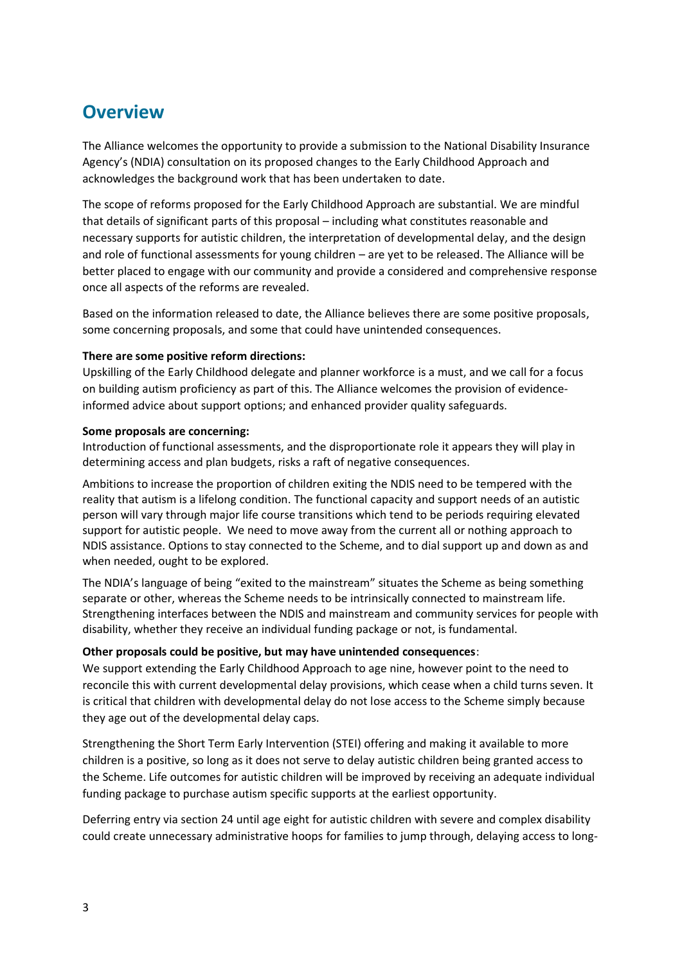# **Overview**

The Alliance welcomes the opportunity to provide a submission to the National Disability Insurance Agency's (NDIA) consultation on its proposed changes to the Early Childhood Approach and acknowledges the background work that has been undertaken to date.

The scope of reforms proposed for the Early Childhood Approach are substantial. We are mindful that details of significant parts of this proposal – including what constitutes reasonable and necessary supports for autistic children, the interpretation of developmental delay, and the design and role of functional assessments for young children – are yet to be released. The Alliance will be better placed to engage with our community and provide a considered and comprehensive response once all aspects of the reforms are revealed.

Based on the information released to date, the Alliance believes there are some positive proposals, some concerning proposals, and some that could have unintended consequences.

#### **There are some positive reform directions:**

Upskilling of the Early Childhood delegate and planner workforce is a must, and we call for a focus on building autism proficiency as part of this. The Alliance welcomes the provision of evidenceinformed advice about support options; and enhanced provider quality safeguards.

#### **Some proposals are concerning:**

Introduction of functional assessments, and the disproportionate role it appears they will play in determining access and plan budgets, risks a raft of negative consequences.

Ambitions to increase the proportion of children exiting the NDIS need to be tempered with the reality that autism is a lifelong condition. The functional capacity and support needs of an autistic person will vary through major life course transitions which tend to be periods requiring elevated support for autistic people. We need to move away from the current all or nothing approach to NDIS assistance. Options to stay connected to the Scheme, and to dial support up and down as and when needed, ought to be explored.

The NDIA's language of being "exited to the mainstream" situates the Scheme as being something separate or other, whereas the Scheme needs to be intrinsically connected to mainstream life. Strengthening interfaces between the NDIS and mainstream and community services for people with disability, whether they receive an individual funding package or not, is fundamental.

#### **Other proposals could be positive, but may have unintended consequences**:

We support extending the Early Childhood Approach to age nine, however point to the need to reconcile this with current developmental delay provisions, which cease when a child turns seven. It is critical that children with developmental delay do not lose access to the Scheme simply because they age out of the developmental delay caps.

Strengthening the Short Term Early Intervention (STEI) offering and making it available to more children is a positive, so long as it does not serve to delay autistic children being granted access to the Scheme. Life outcomes for autistic children will be improved by receiving an adequate individual funding package to purchase autism specific supports at the earliest opportunity.

Deferring entry via section 24 until age eight for autistic children with severe and complex disability could create unnecessary administrative hoops for families to jump through, delaying access to long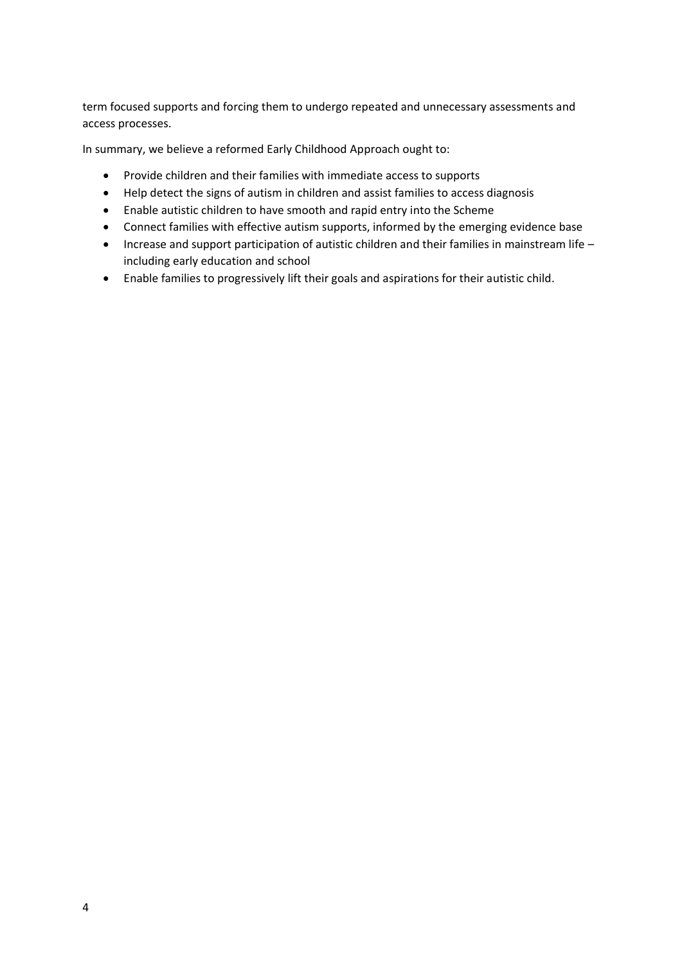term focused supports and forcing them to undergo repeated and unnecessary assessments and access processes.

In summary, we believe a reformed Early Childhood Approach ought to:

- Provide children and their families with immediate access to supports
- Help detect the signs of autism in children and assist families to access diagnosis
- Enable autistic children to have smooth and rapid entry into the Scheme
- Connect families with effective autism supports, informed by the emerging evidence base
- Increase and support participation of autistic children and their families in mainstream life including early education and school
- Enable families to progressively lift their goals and aspirations for their autistic child.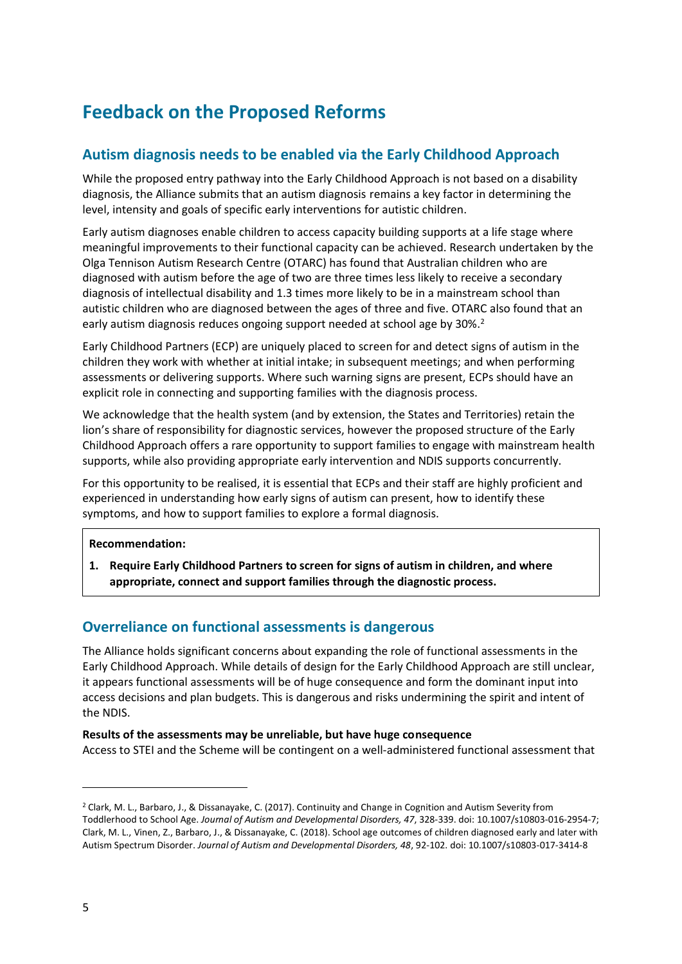# **Feedback on the Proposed Reforms**

# **Autism diagnosis needs to be enabled via the Early Childhood Approach**

While the proposed entry pathway into the Early Childhood Approach is not based on a disability diagnosis, the Alliance submits that an autism diagnosis remains a key factor in determining the level, intensity and goals of specific early interventions for autistic children.

Early autism diagnoses enable children to access capacity building supports at a life stage where meaningful improvements to their functional capacity can be achieved. Research undertaken by the Olga Tennison Autism Research Centre (OTARC) has found that Australian children who are diagnosed with autism before the age of two are three times less likely to receive a secondary diagnosis of intellectual disability and 1.3 times more likely to be in a mainstream school than autistic children who are diagnosed between the ages of three and five. OTARC also found that an early autism diagnosis reduces ongoing support needed at school age by 30%.<sup>2</sup>

Early Childhood Partners (ECP) are uniquely placed to screen for and detect signs of autism in the children they work with whether at initial intake; in subsequent meetings; and when performing assessments or delivering supports. Where such warning signs are present, ECPs should have an explicit role in connecting and supporting families with the diagnosis process.

We acknowledge that the health system (and by extension, the States and Territories) retain the lion's share of responsibility for diagnostic services, however the proposed structure of the Early Childhood Approach offers a rare opportunity to support families to engage with mainstream health supports, while also providing appropriate early intervention and NDIS supports concurrently.

For this opportunity to be realised, it is essential that ECPs and their staff are highly proficient and experienced in understanding how early signs of autism can present, how to identify these symptoms, and how to support families to explore a formal diagnosis.

#### **Recommendation:**

**1. Require Early Childhood Partners to screen for signs of autism in children, and where appropriate, connect and support families through the diagnostic process.**

# **Overreliance on functional assessments is dangerous**

The Alliance holds significant concerns about expanding the role of functional assessments in the Early Childhood Approach. While details of design for the Early Childhood Approach are still unclear, it appears functional assessments will be of huge consequence and form the dominant input into access decisions and plan budgets. This is dangerous and risks undermining the spirit and intent of the NDIS.

#### **Results of the assessments may be unreliable, but have huge consequence**

Access to STEI and the Scheme will be contingent on a well-administered functional assessment that

<sup>2</sup> Clark, M. L., Barbaro, J., & Dissanayake, C. (2017). Continuity and Change in Cognition and Autism Severity from Toddlerhood to School Age. *Journal of Autism and Developmental Disorders, 47*, 328-339. doi: 10.1007/s10803-016-2954-7; Clark, M. L., Vinen, Z., Barbaro, J., & Dissanayake, C. (2018). School age outcomes of children diagnosed early and later with Autism Spectrum Disorder. *Journal of Autism and Developmental Disorders, 48*, 92-102. doi: 10.1007/s10803-017-3414-8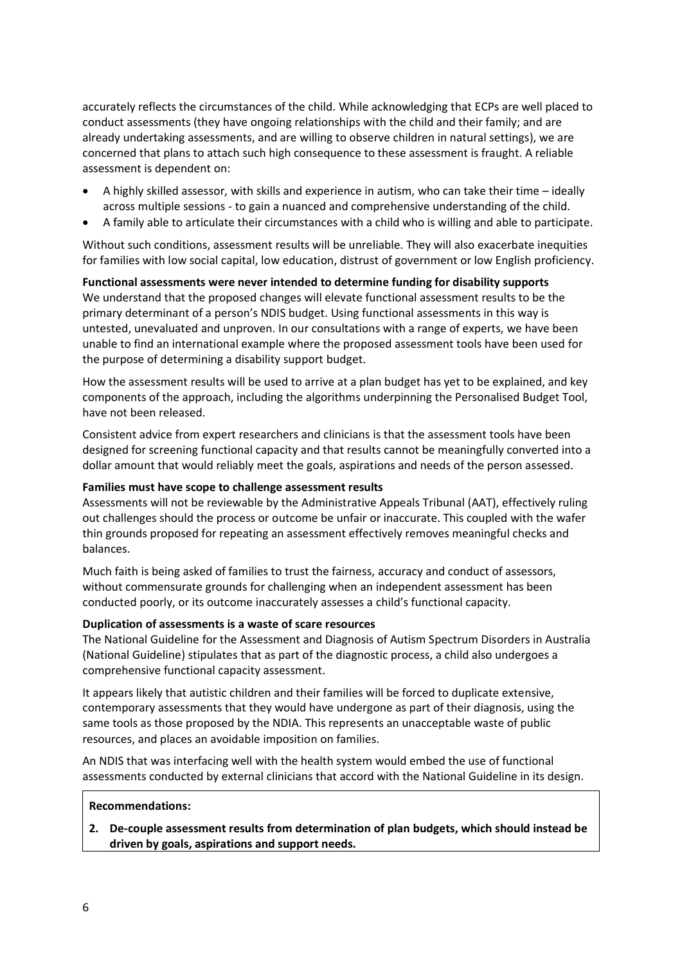accurately reflects the circumstances of the child. While acknowledging that ECPs are well placed to conduct assessments (they have ongoing relationships with the child and their family; and are already undertaking assessments, and are willing to observe children in natural settings), we are concerned that plans to attach such high consequence to these assessment is fraught. A reliable assessment is dependent on:

- A highly skilled assessor, with skills and experience in autism, who can take their time ideally across multiple sessions - to gain a nuanced and comprehensive understanding of the child.
- A family able to articulate their circumstances with a child who is willing and able to participate.

Without such conditions, assessment results will be unreliable. They will also exacerbate inequities for families with low social capital, low education, distrust of government or low English proficiency.

**Functional assessments were never intended to determine funding for disability supports** We understand that the proposed changes will elevate functional assessment results to be the primary determinant of a person's NDIS budget. Using functional assessments in this way is untested, unevaluated and unproven. In our consultations with a range of experts, we have been unable to find an international example where the proposed assessment tools have been used for the purpose of determining a disability support budget.

How the assessment results will be used to arrive at a plan budget has yet to be explained, and key components of the approach, including the algorithms underpinning the Personalised Budget Tool, have not been released.

Consistent advice from expert researchers and clinicians is that the assessment tools have been designed for screening functional capacity and that results cannot be meaningfully converted into a dollar amount that would reliably meet the goals, aspirations and needs of the person assessed.

#### **Families must have scope to challenge assessment results**

Assessments will not be reviewable by the Administrative Appeals Tribunal (AAT), effectively ruling out challenges should the process or outcome be unfair or inaccurate. This coupled with the wafer thin grounds proposed for repeating an assessment effectively removes meaningful checks and balances.

Much faith is being asked of families to trust the fairness, accuracy and conduct of assessors, without commensurate grounds for challenging when an independent assessment has been conducted poorly, or its outcome inaccurately assesses a child's functional capacity.

#### **Duplication of assessments is a waste of scare resources**

The National Guideline for the Assessment and Diagnosis of Autism Spectrum Disorders in Australia (National Guideline) stipulates that as part of the diagnostic process, a child also undergoes a comprehensive functional capacity assessment.

It appears likely that autistic children and their families will be forced to duplicate extensive, contemporary assessments that they would have undergone as part of their diagnosis, using the same tools as those proposed by the NDIA. This represents an unacceptable waste of public resources, and places an avoidable imposition on families.

An NDIS that was interfacing well with the health system would embed the use of functional assessments conducted by external clinicians that accord with the National Guideline in its design.

#### **Recommendations:**

**2. De-couple assessment results from determination of plan budgets, which should instead be driven by goals, aspirations and support needs.**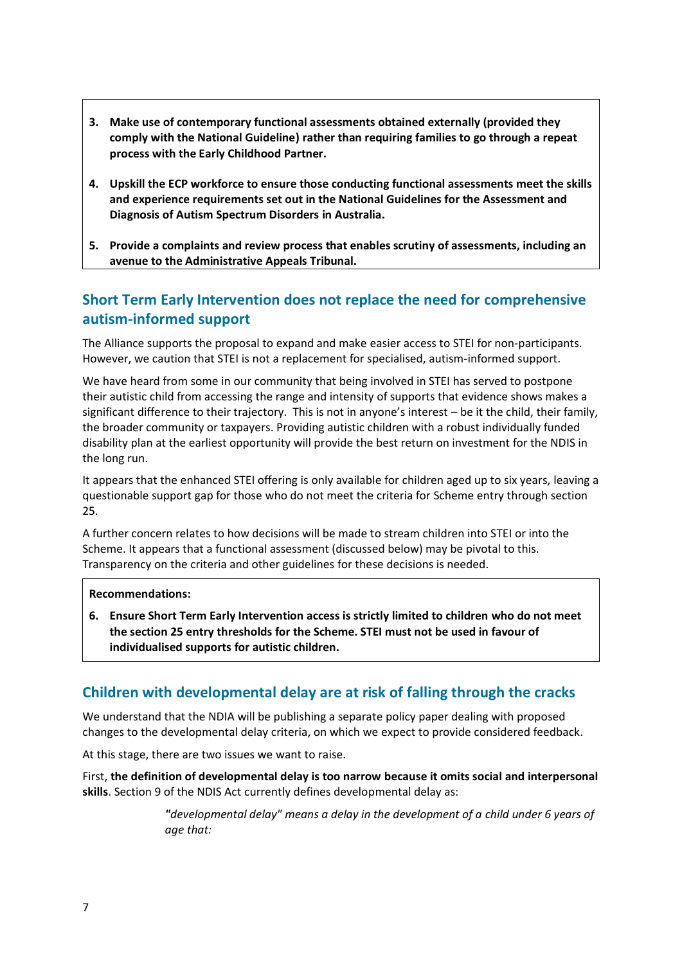- **3. Make use of contemporary functional assessments obtained externally (provided they comply with the National Guideline) rather than requiring families to go through a repeat process with the Early Childhood Partner.**
- **4. Upskill the ECP workforce to ensure those conducting functional assessments meet the skills and experience requirements set out in the National Guidelines for the Assessment and Diagnosis of Autism Spectrum Disorders in Australia.**
- **5. Provide a complaints and review process that enables scrutiny of assessments, including an avenue to the Administrative Appeals Tribunal.**

# **Short Term Early Intervention does not replace the need for comprehensive autism-informed support**

The Alliance supports the proposal to expand and make easier access to STEI for non-participants. However, we caution that STEI is not a replacement for specialised, autism-informed support.

We have heard from some in our community that being involved in STEI has served to postpone their autistic child from accessing the range and intensity of supports that evidence shows makes a significant difference to their trajectory. This is not in anyone's interest – be it the child, their family, the broader community or taxpayers. Providing autistic children with a robust individually funded disability plan at the earliest opportunity will provide the best return on investment for the NDIS in the long run.

It appears that the enhanced STEI offering is only available for children aged up to six years, leaving a questionable support gap for those who do not meet the criteria for Scheme entry through section 25.

A further concern relates to how decisions will be made to stream children into STEI or into the Scheme. It appears that a functional assessment (discussed below) may be pivotal to this. Transparency on the criteria and other guidelines for these decisions is needed.

#### **Recommendations:**

**6. Ensure Short Term Early Intervention access is strictly limited to children who do not meet the section 25 entry thresholds for the Scheme. STEI must not be used in favour of individualised supports for autistic children.**

# **Children with developmental delay are at risk of falling through the cracks**

We understand that the NDIA will be publishing a separate policy paper dealing with proposed changes to the developmental delay criteria, on which we expect to provide considered feedback.

At this stage, there are two issues we want to raise.

First, **the definition of developmental delay is too narrow because it omits social and interpersonal skills**. Section 9 of the NDIS Act currently defines developmental delay as:

> *"developmental delay" means a delay in the development of a [child](http://www5.austlii.edu.au/au/legis/cth/consol_act/ndisa2013341/s9.html#child) under 6 years of age that:*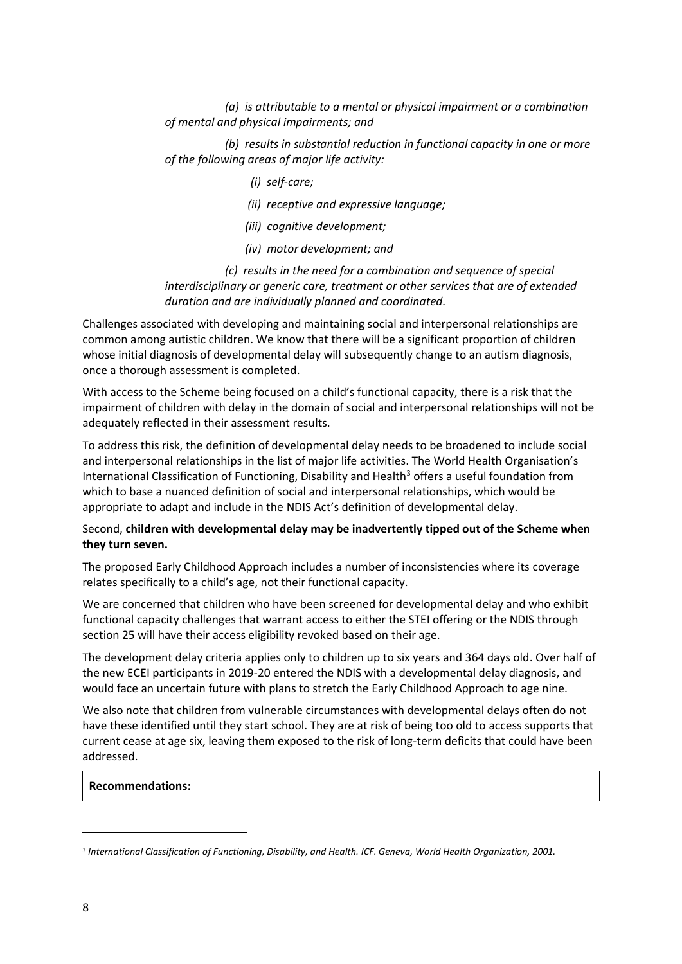*(a) is attributable to a mental or physical impairment or a combination of mental and physical impairments; and*

 *(b) results in substantial reduction in functional capacity in one or more of the following areas of major life activity:*

- *(i) self-care;*
- *(ii) receptive and expressive language;*
- *(iii) cognitive development;*
- *(iv) motor development; and*

 *(c) results in the need for a combination and sequence of special interdisciplinary or generic care, treatment or other services that are of extended duration and are individually [planned](http://www5.austlii.edu.au/au/legis/cth/consol_act/ndisa2013341/s9.html#plan) and coordinated.*

Challenges associated with developing and maintaining social and interpersonal relationships are common among autistic children. We know that there will be a significant proportion of children whose initial diagnosis of developmental delay will subsequently change to an autism diagnosis, once a thorough assessment is completed.

With access to the Scheme being focused on a child's functional capacity, there is a risk that the impairment of children with delay in the domain of social and interpersonal relationships will not be adequately reflected in their assessment results.

To address this risk, the definition of developmental delay needs to be broadened to include social and interpersonal relationships in the list of major life activities. The World Health Organisation's International Classification of Functioning, Disability and Health<sup>3</sup> offers a useful foundation from which to base a nuanced definition of social and interpersonal relationships, which would be appropriate to adapt and include in the NDIS Act's definition of developmental delay.

#### Second, **children with developmental delay may be inadvertently tipped out of the Scheme when they turn seven.**

The proposed Early Childhood Approach includes a number of inconsistencies where its coverage relates specifically to a child's age, not their functional capacity.

We are concerned that children who have been screened for developmental delay and who exhibit functional capacity challenges that warrant access to either the STEI offering or the NDIS through section 25 will have their access eligibility revoked based on their age.

The development delay criteria applies only to children up to six years and 364 days old. Over half of the new ECEI participants in 2019-20 entered the NDIS with a developmental delay diagnosis, and would face an uncertain future with plans to stretch the Early Childhood Approach to age nine.

We also note that children from vulnerable circumstances with developmental delays often do not have these identified until they start school. They are at risk of being too old to access supports that current cease at age six, leaving them exposed to the risk of long-term deficits that could have been addressed.

#### **Recommendations:**

<sup>3</sup> *International Classification of Functioning, Disability, and Health. ICF. Geneva, World Health Organization, 2001.*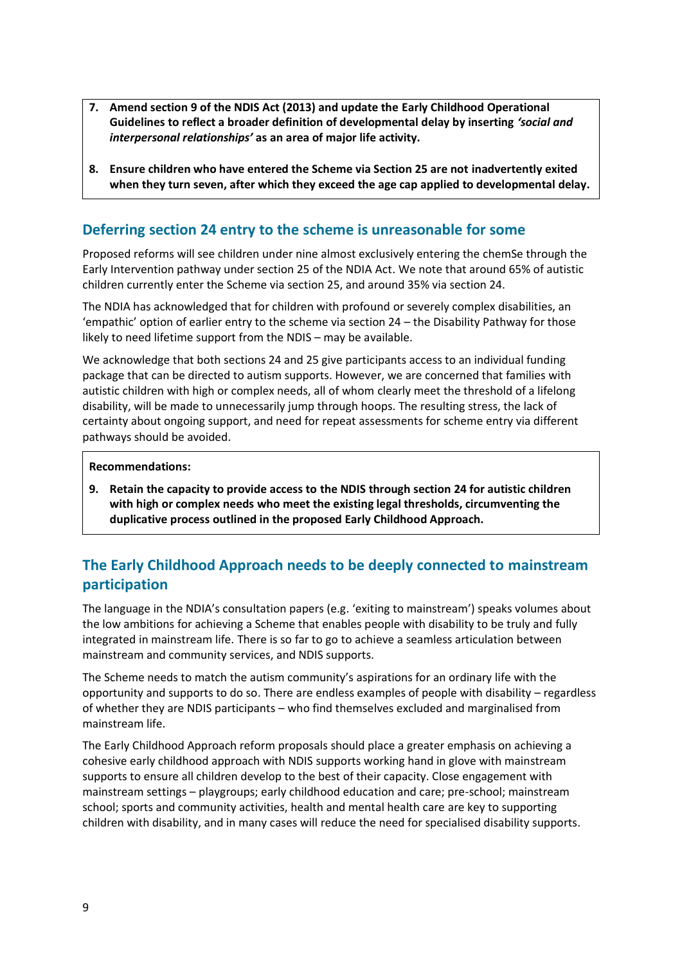- **7. Amend section 9 of the NDIS Act (2013) and update the Early Childhood Operational Guidelines to reflect a broader definition of developmental delay by inserting** *'social and interpersonal relationships'* **as an area of major life activity.**
- **8. Ensure children who have entered the Scheme via Section 25 are not inadvertently exited when they turn seven, after which they exceed the age cap applied to developmental delay.**

# **Deferring section 24 entry to the scheme is unreasonable for some**

Proposed reforms will see children under nine almost exclusively entering the chemSe through the Early Intervention pathway under section 25 of the NDIA Act. We note that around 65% of autistic children currently enter the Scheme via section 25, and around 35% via section 24.

The NDIA has acknowledged that for children with profound or severely complex disabilities, an 'empathic' option of earlier entry to the scheme via section 24 – the Disability Pathway for those likely to need lifetime support from the NDIS – may be available.

We acknowledge that both sections 24 and 25 give participants access to an individual funding package that can be directed to autism supports. However, we are concerned that families with autistic children with high or complex needs, all of whom clearly meet the threshold of a lifelong disability, will be made to unnecessarily jump through hoops. The resulting stress, the lack of certainty about ongoing support, and need for repeat assessments for scheme entry via different pathways should be avoided.

#### **Recommendations:**

**9. Retain the capacity to provide access to the NDIS through section 24 for autistic children with high or complex needs who meet the existing legal thresholds, circumventing the duplicative process outlined in the proposed Early Childhood Approach.**

# **The Early Childhood Approach needs to be deeply connected to mainstream participation**

The language in the NDIA's consultation papers (e.g. 'exiting to mainstream') speaks volumes about the low ambitions for achieving a Scheme that enables people with disability to be truly and fully integrated in mainstream life. There is so far to go to achieve a seamless articulation between mainstream and community services, and NDIS supports.

The Scheme needs to match the autism community's aspirations for an ordinary life with the opportunity and supports to do so. There are endless examples of people with disability – regardless of whether they are NDIS participants – who find themselves excluded and marginalised from mainstream life.

The Early Childhood Approach reform proposals should place a greater emphasis on achieving a cohesive early childhood approach with NDIS supports working hand in glove with mainstream supports to ensure all children develop to the best of their capacity. Close engagement with mainstream settings – playgroups; early childhood education and care; pre-school; mainstream school; sports and community activities, health and mental health care are key to supporting children with disability, and in many cases will reduce the need for specialised disability supports.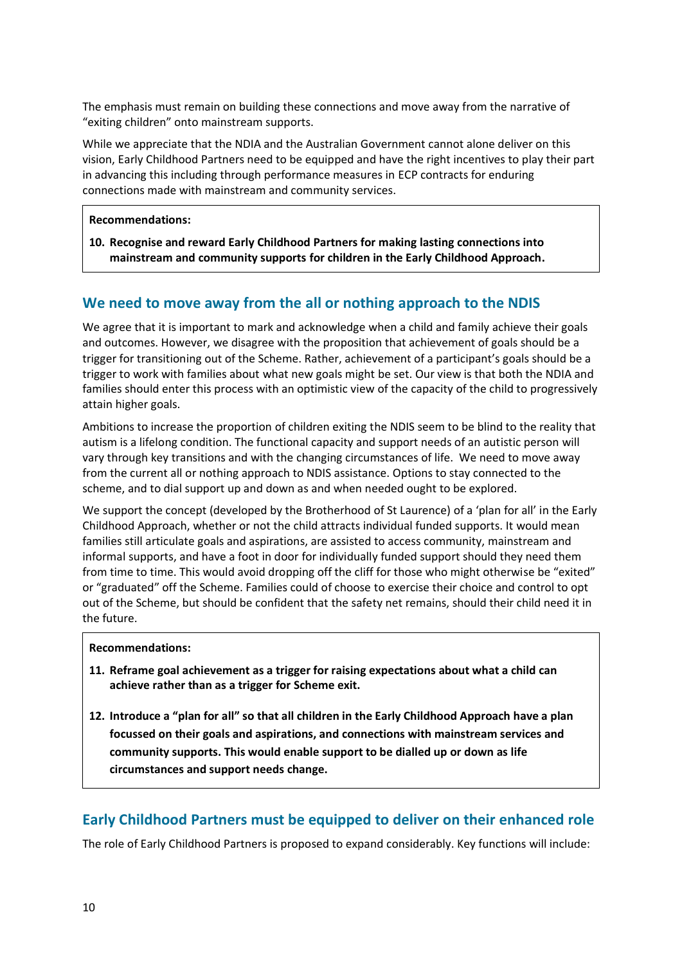The emphasis must remain on building these connections and move away from the narrative of "exiting children" onto mainstream supports.

While we appreciate that the NDIA and the Australian Government cannot alone deliver on this vision, Early Childhood Partners need to be equipped and have the right incentives to play their part in advancing this including through performance measures in ECP contracts for enduring connections made with mainstream and community services.

**Recommendations:**

**10. Recognise and reward Early Childhood Partners for making lasting connections into mainstream and community supports for children in the Early Childhood Approach.**

# **We need to move away from the all or nothing approach to the NDIS**

We agree that it is important to mark and acknowledge when a child and family achieve their goals and outcomes. However, we disagree with the proposition that achievement of goals should be a trigger for transitioning out of the Scheme. Rather, achievement of a participant's goals should be a trigger to work with families about what new goals might be set. Our view is that both the NDIA and families should enter this process with an optimistic view of the capacity of the child to progressively attain higher goals.

Ambitions to increase the proportion of children exiting the NDIS seem to be blind to the reality that autism is a lifelong condition. The functional capacity and support needs of an autistic person will vary through key transitions and with the changing circumstances of life. We need to move away from the current all or nothing approach to NDIS assistance. Options to stay connected to the scheme, and to dial support up and down as and when needed ought to be explored.

We support the concept (developed by the Brotherhood of St Laurence) of a 'plan for all' in the Early Childhood Approach, whether or not the child attracts individual funded supports. It would mean families still articulate goals and aspirations, are assisted to access community, mainstream and informal supports, and have a foot in door for individually funded support should they need them from time to time. This would avoid dropping off the cliff for those who might otherwise be "exited" or "graduated" off the Scheme. Families could of choose to exercise their choice and control to opt out of the Scheme, but should be confident that the safety net remains, should their child need it in the future.

#### **Recommendations:**

- **11. Reframe goal achievement as a trigger for raising expectations about what a child can achieve rather than as a trigger for Scheme exit.**
- **12. Introduce a "plan for all" so that all children in the Early Childhood Approach have a plan focussed on their goals and aspirations, and connections with mainstream services and community supports. This would enable support to be dialled up or down as life circumstances and support needs change.**

# **Early Childhood Partners must be equipped to deliver on their enhanced role**

The role of Early Childhood Partners is proposed to expand considerably. Key functions will include: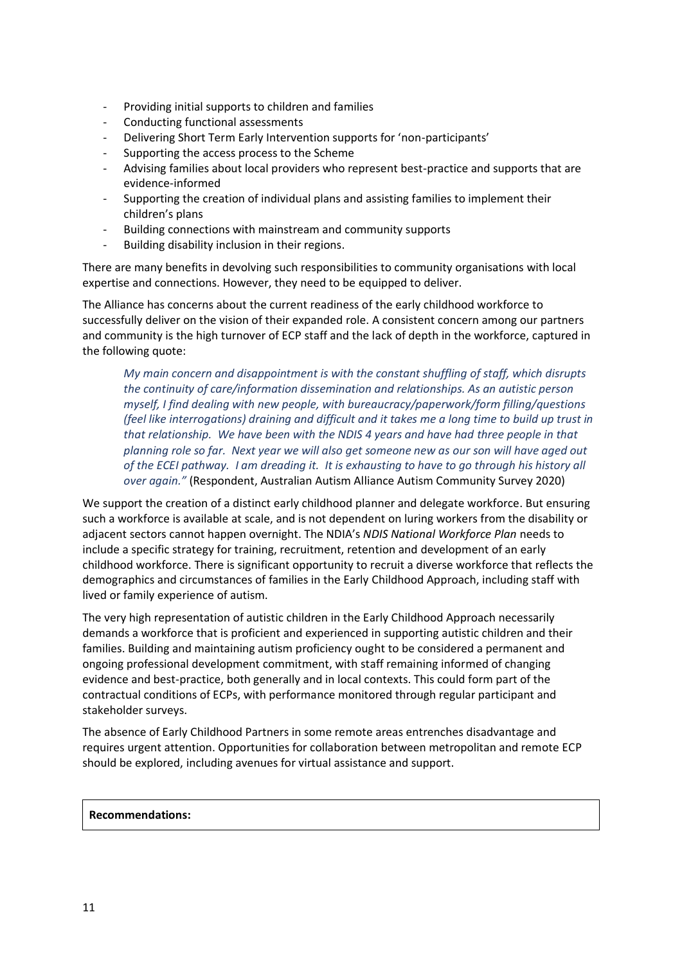- Providing initial supports to children and families
- Conducting functional assessments
- Delivering Short Term Early Intervention supports for 'non-participants'
- Supporting the access process to the Scheme
- Advising families about local providers who represent best-practice and supports that are evidence-informed
- Supporting the creation of individual plans and assisting families to implement their children's plans
- Building connections with mainstream and community supports
- Building disability inclusion in their regions.

There are many benefits in devolving such responsibilities to community organisations with local expertise and connections. However, they need to be equipped to deliver.

The Alliance has concerns about the current readiness of the early childhood workforce to successfully deliver on the vision of their expanded role. A consistent concern among our partners and community is the high turnover of ECP staff and the lack of depth in the workforce, captured in the following quote:

*My main concern and disappointment is with the constant shuffling of staff, which disrupts the continuity of care/information dissemination and relationships. As an autistic person myself, I find dealing with new people, with bureaucracy/paperwork/form filling/questions (feel like interrogations) draining and difficult and it takes me a long time to build up trust in that relationship. We have been with the NDIS 4 years and have had three people in that planning role so far. Next year we will also get someone new as our son will have aged out of the ECEI pathway. I am dreading it. It is exhausting to have to go through his history all over again."* (Respondent, Australian Autism Alliance Autism Community Survey 2020)

We support the creation of a distinct early childhood planner and delegate workforce. But ensuring such a workforce is available at scale, and is not dependent on luring workers from the disability or adjacent sectors cannot happen overnight. The NDIA's *NDIS National Workforce Plan* needs to include a specific strategy for training, recruitment, retention and development of an early childhood workforce. There is significant opportunity to recruit a diverse workforce that reflects the demographics and circumstances of families in the Early Childhood Approach, including staff with lived or family experience of autism.

The very high representation of autistic children in the Early Childhood Approach necessarily demands a workforce that is proficient and experienced in supporting autistic children and their families. Building and maintaining autism proficiency ought to be considered a permanent and ongoing professional development commitment, with staff remaining informed of changing evidence and best-practice, both generally and in local contexts. This could form part of the contractual conditions of ECPs, with performance monitored through regular participant and stakeholder surveys.

The absence of Early Childhood Partners in some remote areas entrenches disadvantage and requires urgent attention. Opportunities for collaboration between metropolitan and remote ECP should be explored, including avenues for virtual assistance and support.

#### **Recommendations:**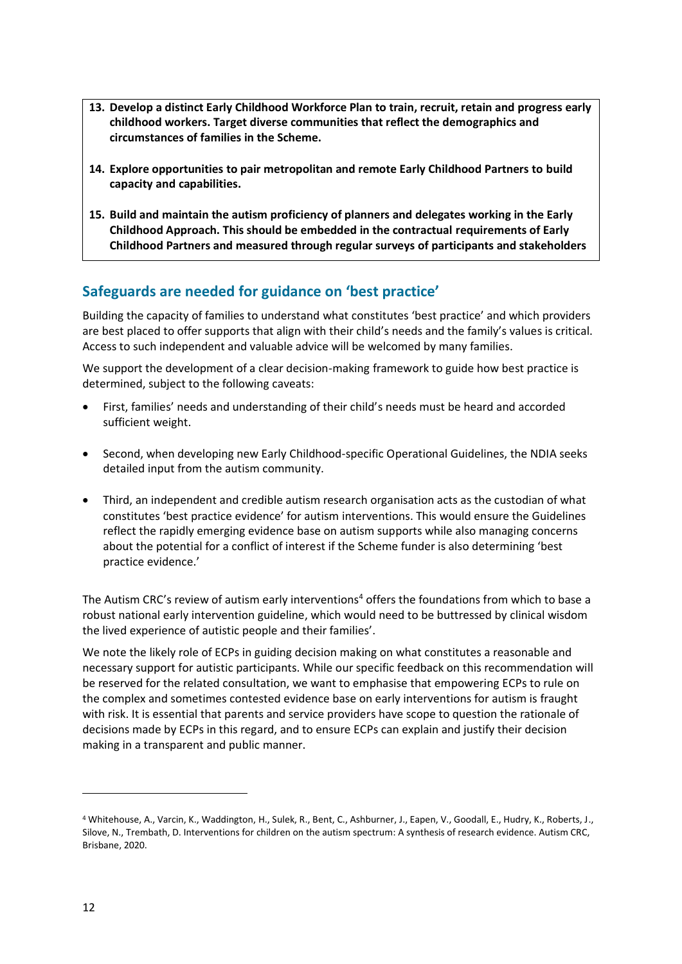- **13. Develop a distinct Early Childhood Workforce Plan to train, recruit, retain and progress early childhood workers. Target diverse communities that reflect the demographics and circumstances of families in the Scheme.**
- **14. Explore opportunities to pair metropolitan and remote Early Childhood Partners to build capacity and capabilities.**
- **15. Build and maintain the autism proficiency of planners and delegates working in the Early Childhood Approach. This should be embedded in the contractual requirements of Early Childhood Partners and measured through regular surveys of participants and stakeholders**

# **Safeguards are needed for guidance on 'best practice'**

Building the capacity of families to understand what constitutes 'best practice' and which providers are best placed to offer supports that align with their child's needs and the family's values is critical. Access to such independent and valuable advice will be welcomed by many families.

We support the development of a clear decision-making framework to guide how best practice is determined, subject to the following caveats:

- First, families' needs and understanding of their child's needs must be heard and accorded sufficient weight.
- Second, when developing new Early Childhood-specific Operational Guidelines, the NDIA seeks detailed input from the autism community.
- Third, an independent and credible autism research organisation acts as the custodian of what constitutes 'best practice evidence' for autism interventions. This would ensure the Guidelines reflect the rapidly emerging evidence base on autism supports while also managing concerns about the potential for a conflict of interest if the Scheme funder is also determining 'best practice evidence.'

The Autism CRC's review of autism early interventions<sup>4</sup> offers the foundations from which to base a robust national early intervention guideline, which would need to be buttressed by clinical wisdom the lived experience of autistic people and their families'.

We note the likely role of ECPs in guiding decision making on what constitutes a reasonable and necessary support for autistic participants. While our specific feedback on this recommendation will be reserved for the related consultation, we want to emphasise that empowering ECPs to rule on the complex and sometimes contested evidence base on early interventions for autism is fraught with risk. It is essential that parents and service providers have scope to question the rationale of decisions made by ECPs in this regard, and to ensure ECPs can explain and justify their decision making in a transparent and public manner.

<sup>4</sup> Whitehouse, A., Varcin, K., Waddington, H., Sulek, R., Bent, C., Ashburner, J., Eapen, V., Goodall, E., Hudry, K., Roberts, J., Silove, N., Trembath, D. Interventions for children on the autism spectrum: A synthesis of research evidence. Autism CRC, Brisbane, 2020.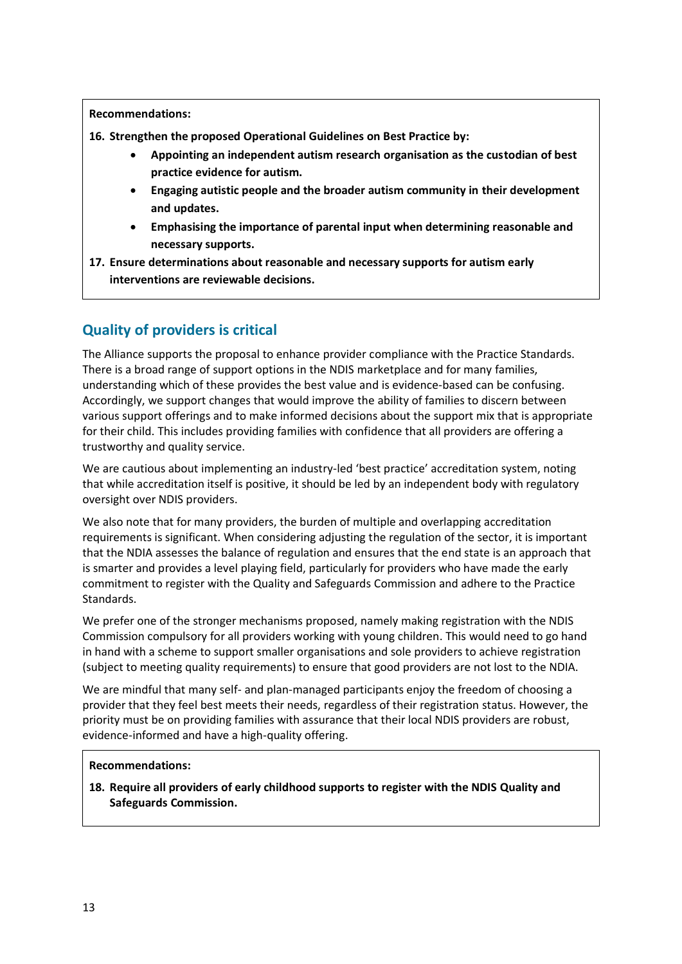**Recommendations:**

**16. Strengthen the proposed Operational Guidelines on Best Practice by:**

- **Appointing an independent autism research organisation as the custodian of best practice evidence for autism.**
- **Engaging autistic people and the broader autism community in their development and updates.**
- **Emphasising the importance of parental input when determining reasonable and necessary supports.**
- **17. Ensure determinations about reasonable and necessary supports for autism early interventions are reviewable decisions.**

# **Quality of providers is critical**

The Alliance supports the proposal to enhance provider compliance with the Practice Standards. There is a broad range of support options in the NDIS marketplace and for many families, understanding which of these provides the best value and is evidence-based can be confusing. Accordingly, we support changes that would improve the ability of families to discern between various support offerings and to make informed decisions about the support mix that is appropriate for their child. This includes providing families with confidence that all providers are offering a trustworthy and quality service.

We are cautious about implementing an industry-led 'best practice' accreditation system, noting that while accreditation itself is positive, it should be led by an independent body with regulatory oversight over NDIS providers.

We also note that for many providers, the burden of multiple and overlapping accreditation requirements is significant. When considering adjusting the regulation of the sector, it is important that the NDIA assesses the balance of regulation and ensures that the end state is an approach that is smarter and provides a level playing field, particularly for providers who have made the early commitment to register with the Quality and Safeguards Commission and adhere to the Practice Standards.

We prefer one of the stronger mechanisms proposed, namely making registration with the NDIS Commission compulsory for all providers working with young children. This would need to go hand in hand with a scheme to support smaller organisations and sole providers to achieve registration (subject to meeting quality requirements) to ensure that good providers are not lost to the NDIA.

We are mindful that many self- and plan-managed participants enjoy the freedom of choosing a provider that they feel best meets their needs, regardless of their registration status. However, the priority must be on providing families with assurance that their local NDIS providers are robust, evidence-informed and have a high-quality offering.

#### **Recommendations:**

**18. Require all providers of early childhood supports to register with the NDIS Quality and Safeguards Commission.**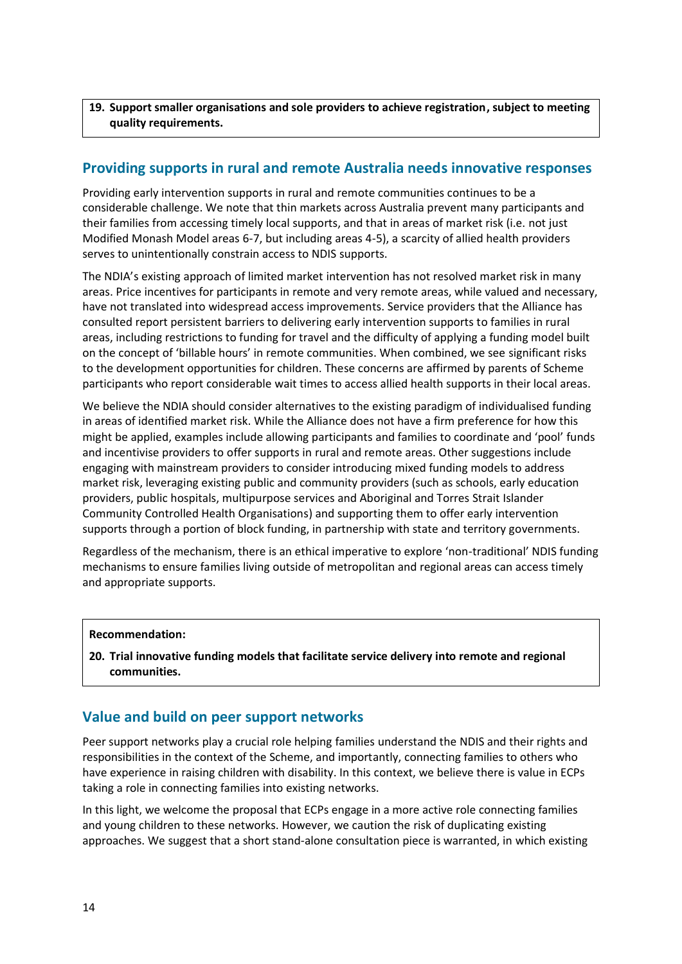#### **19. Support smaller organisations and sole providers to achieve registration, subject to meeting quality requirements.**

# **Providing supports in rural and remote Australia needs innovative responses**

Providing early intervention supports in rural and remote communities continues to be a considerable challenge. We note that thin markets across Australia prevent many participants and their families from accessing timely local supports, and that in areas of market risk (i.e. not just Modified Monash Model areas 6-7, but including areas 4-5), a scarcity of allied health providers serves to unintentionally constrain access to NDIS supports.

The NDIA's existing approach of limited market intervention has not resolved market risk in many areas. Price incentives for participants in remote and very remote areas, while valued and necessary, have not translated into widespread access improvements. Service providers that the Alliance has consulted report persistent barriers to delivering early intervention supports to families in rural areas, including restrictions to funding for travel and the difficulty of applying a funding model built on the concept of 'billable hours' in remote communities. When combined, we see significant risks to the development opportunities for children. These concerns are affirmed by parents of Scheme participants who report considerable wait times to access allied health supports in their local areas.

We believe the NDIA should consider alternatives to the existing paradigm of individualised funding in areas of identified market risk. While the Alliance does not have a firm preference for how this might be applied, examples include allowing participants and families to coordinate and 'pool' funds and incentivise providers to offer supports in rural and remote areas. Other suggestions include engaging with mainstream providers to consider introducing mixed funding models to address market risk, leveraging existing public and community providers (such as schools, early education providers, public hospitals, multipurpose services and Aboriginal and Torres Strait Islander Community Controlled Health Organisations) and supporting them to offer early intervention supports through a portion of block funding, in partnership with state and territory governments.

Regardless of the mechanism, there is an ethical imperative to explore 'non-traditional' NDIS funding mechanisms to ensure families living outside of metropolitan and regional areas can access timely and appropriate supports.

#### **Recommendation:**

**20. Trial innovative funding models that facilitate service delivery into remote and regional communities.**

# **Value and build on peer support networks**

Peer support networks play a crucial role helping families understand the NDIS and their rights and responsibilities in the context of the Scheme, and importantly, connecting families to others who have experience in raising children with disability. In this context, we believe there is value in ECPs taking a role in connecting families into existing networks.

In this light, we welcome the proposal that ECPs engage in a more active role connecting families and young children to these networks. However, we caution the risk of duplicating existing approaches. We suggest that a short stand-alone consultation piece is warranted, in which existing